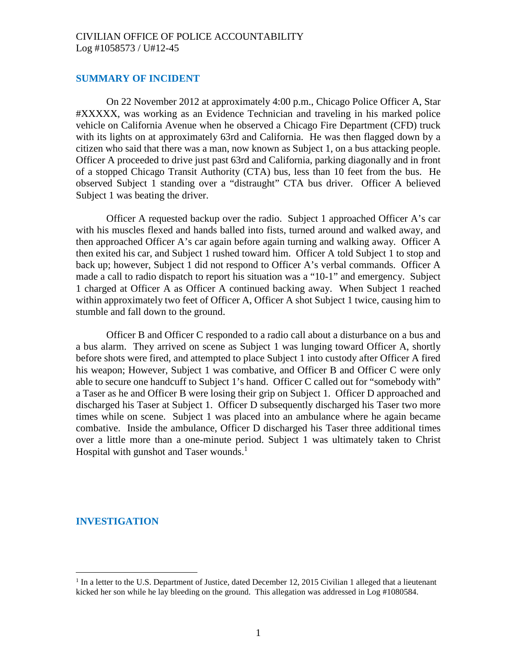#### **SUMMARY OF INCIDENT**

On 22 November 2012 at approximately 4:00 p.m., Chicago Police Officer A, Star #XXXXX, was working as an Evidence Technician and traveling in his marked police vehicle on California Avenue when he observed a Chicago Fire Department (CFD) truck with its lights on at approximately 63rd and California. He was then flagged down by a citizen who said that there was a man, now known as Subject 1, on a bus attacking people. Officer A proceeded to drive just past 63rd and California, parking diagonally and in front of a stopped Chicago Transit Authority (CTA) bus, less than 10 feet from the bus. He observed Subject 1 standing over a "distraught" CTA bus driver. Officer A believed Subject 1 was beating the driver.

Officer A requested backup over the radio. Subject 1 approached Officer A's car with his muscles flexed and hands balled into fists, turned around and walked away, and then approached Officer A's car again before again turning and walking away. Officer A then exited his car, and Subject 1 rushed toward him. Officer A told Subject 1 to stop and back up; however, Subject 1 did not respond to Officer A's verbal commands. Officer A made a call to radio dispatch to report his situation was a "10-1" and emergency. Subject 1 charged at Officer A as Officer A continued backing away. When Subject 1 reached within approximately two feet of Officer A, Officer A shot Subject 1 twice, causing him to stumble and fall down to the ground.

Officer B and Officer C responded to a radio call about a disturbance on a bus and a bus alarm. They arrived on scene as Subject 1 was lunging toward Officer A, shortly before shots were fired, and attempted to place Subject 1 into custody after Officer A fired his weapon; However, Subject 1 was combative, and Officer B and Officer C were only able to secure one handcuff to Subject 1's hand. Officer C called out for "somebody with" a Taser as he and Officer B were losing their grip on Subject 1. Officer D approached and discharged his Taser at Subject 1. Officer D subsequently discharged his Taser two more times while on scene. Subject 1 was placed into an ambulance where he again became combative. Inside the ambulance, Officer D discharged his Taser three additional times over a little more than a one-minute period. Subject 1 was ultimately taken to Christ Hospital with gunshot and Taser wounds.<sup>[1](#page-0-0)</sup>

#### **INVESTIGATION**

<span id="page-0-0"></span><sup>&</sup>lt;sup>1</sup> In a letter to the U.S. Department of Justice, dated December 12, 2015 Civilian 1 alleged that a lieutenant kicked her son while he lay bleeding on the ground. This allegation was addressed in Log #1080584.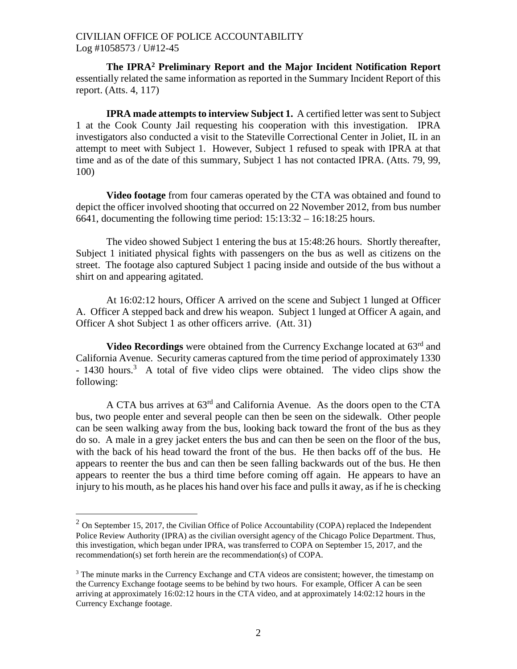**The IPRA[2](#page-1-0) Preliminary Report and the Major Incident Notification Report** essentially related the same information as reported in the Summary Incident Report of this report. (Atts. 4, 117)

**IPRA made attempts to interview Subject 1.** A certified letter was sent to Subject 1 at the Cook County Jail requesting his cooperation with this investigation. IPRA investigators also conducted a visit to the Stateville Correctional Center in Joliet, IL in an attempt to meet with Subject 1. However, Subject 1 refused to speak with IPRA at that time and as of the date of this summary, Subject 1 has not contacted IPRA. (Atts. 79, 99, 100)

**Video footage** from four cameras operated by the CTA was obtained and found to depict the officer involved shooting that occurred on 22 November 2012, from bus number 6641, documenting the following time period: 15:13:32 – 16:18:25 hours.

The video showed Subject 1 entering the bus at 15:48:26 hours. Shortly thereafter, Subject 1 initiated physical fights with passengers on the bus as well as citizens on the street. The footage also captured Subject 1 pacing inside and outside of the bus without a shirt on and appearing agitated.

At 16:02:12 hours, Officer A arrived on the scene and Subject 1 lunged at Officer A. Officer A stepped back and drew his weapon. Subject 1 lunged at Officer A again, and Officer A shot Subject 1 as other officers arrive. (Att. 31)

**Video Recordings** were obtained from the Currency Exchange located at 63<sup>rd</sup> and California Avenue. Security cameras captured from the time period of approximately 1330 - 14[3](#page-1-1)0 hours.<sup>3</sup> A total of five video clips were obtained. The video clips show the following:

A CTA bus arrives at 63rd and California Avenue. As the doors open to the CTA bus, two people enter and several people can then be seen on the sidewalk. Other people can be seen walking away from the bus, looking back toward the front of the bus as they do so. A male in a grey jacket enters the bus and can then be seen on the floor of the bus, with the back of his head toward the front of the bus. He then backs off of the bus. He appears to reenter the bus and can then be seen falling backwards out of the bus. He then appears to reenter the bus a third time before coming off again. He appears to have an injury to his mouth, as he places his hand over his face and pulls it away, as if he is checking

<span id="page-1-0"></span> $2$  On September 15, 2017, the Civilian Office of Police Accountability (COPA) replaced the Independent Police Review Authority (IPRA) as the civilian oversight agency of the Chicago Police Department. Thus, this investigation, which began under IPRA, was transferred to COPA on September 15, 2017, and the recommendation(s) set forth herein are the recommendation(s) of COPA.

<span id="page-1-1"></span><sup>&</sup>lt;sup>3</sup> The minute marks in the Currency Exchange and CTA videos are consistent; however, the timestamp on the Currency Exchange footage seems to be behind by two hours. For example, Officer A can be seen arriving at approximately 16:02:12 hours in the CTA video, and at approximately 14:02:12 hours in the Currency Exchange footage.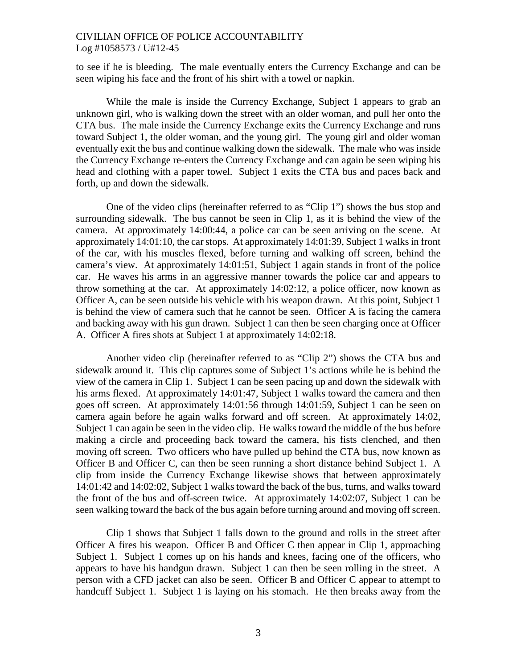to see if he is bleeding. The male eventually enters the Currency Exchange and can be seen wiping his face and the front of his shirt with a towel or napkin.

While the male is inside the Currency Exchange, Subject 1 appears to grab an unknown girl, who is walking down the street with an older woman, and pull her onto the CTA bus. The male inside the Currency Exchange exits the Currency Exchange and runs toward Subject 1, the older woman, and the young girl. The young girl and older woman eventually exit the bus and continue walking down the sidewalk. The male who was inside the Currency Exchange re-enters the Currency Exchange and can again be seen wiping his head and clothing with a paper towel. Subject 1 exits the CTA bus and paces back and forth, up and down the sidewalk.

One of the video clips (hereinafter referred to as "Clip 1") shows the bus stop and surrounding sidewalk. The bus cannot be seen in Clip 1, as it is behind the view of the camera. At approximately 14:00:44, a police car can be seen arriving on the scene. At approximately 14:01:10, the car stops. At approximately 14:01:39, Subject 1 walks in front of the car, with his muscles flexed, before turning and walking off screen, behind the camera's view. At approximately 14:01:51, Subject 1 again stands in front of the police car. He waves his arms in an aggressive manner towards the police car and appears to throw something at the car. At approximately 14:02:12, a police officer, now known as Officer A, can be seen outside his vehicle with his weapon drawn. At this point, Subject 1 is behind the view of camera such that he cannot be seen. Officer A is facing the camera and backing away with his gun drawn. Subject 1 can then be seen charging once at Officer A. Officer A fires shots at Subject 1 at approximately 14:02:18.

Another video clip (hereinafter referred to as "Clip 2") shows the CTA bus and sidewalk around it. This clip captures some of Subject 1's actions while he is behind the view of the camera in Clip 1. Subject 1 can be seen pacing up and down the sidewalk with his arms flexed. At approximately 14:01:47, Subject 1 walks toward the camera and then goes off screen. At approximately 14:01:56 through 14:01:59, Subject 1 can be seen on camera again before he again walks forward and off screen. At approximately 14:02, Subject 1 can again be seen in the video clip. He walks toward the middle of the bus before making a circle and proceeding back toward the camera, his fists clenched, and then moving off screen. Two officers who have pulled up behind the CTA bus, now known as Officer B and Officer C, can then be seen running a short distance behind Subject 1. A clip from inside the Currency Exchange likewise shows that between approximately 14:01:42 and 14:02:02, Subject 1 walks toward the back of the bus, turns, and walks toward the front of the bus and off-screen twice. At approximately 14:02:07, Subject 1 can be seen walking toward the back of the bus again before turning around and moving off screen.

Clip 1 shows that Subject 1 falls down to the ground and rolls in the street after Officer A fires his weapon. Officer B and Officer C then appear in Clip 1, approaching Subject 1. Subject 1 comes up on his hands and knees, facing one of the officers, who appears to have his handgun drawn. Subject 1 can then be seen rolling in the street. A person with a CFD jacket can also be seen. Officer B and Officer C appear to attempt to handcuff Subject 1. Subject 1 is laying on his stomach. He then breaks away from the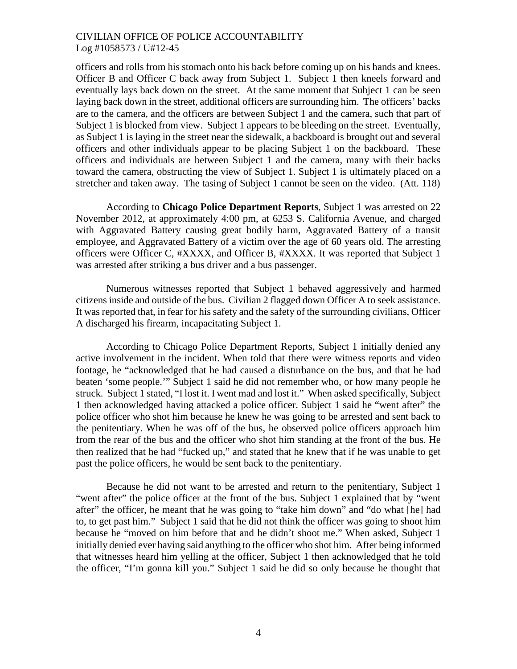officers and rolls from his stomach onto his back before coming up on his hands and knees. Officer B and Officer C back away from Subject 1. Subject 1 then kneels forward and eventually lays back down on the street. At the same moment that Subject 1 can be seen laying back down in the street, additional officers are surrounding him. The officers' backs are to the camera, and the officers are between Subject 1 and the camera, such that part of Subject 1 is blocked from view. Subject 1 appears to be bleeding on the street. Eventually, as Subject 1 is laying in the street near the sidewalk, a backboard is brought out and several officers and other individuals appear to be placing Subject 1 on the backboard. These officers and individuals are between Subject 1 and the camera, many with their backs toward the camera, obstructing the view of Subject 1. Subject 1 is ultimately placed on a stretcher and taken away. The tasing of Subject 1 cannot be seen on the video. (Att. 118)

According to **Chicago Police Department Reports**, Subject 1 was arrested on 22 November 2012, at approximately 4:00 pm, at 6253 S. California Avenue, and charged with Aggravated Battery causing great bodily harm, Aggravated Battery of a transit employee, and Aggravated Battery of a victim over the age of 60 years old. The arresting officers were Officer C, #XXXX, and Officer B, #XXXX. It was reported that Subject 1 was arrested after striking a bus driver and a bus passenger.

Numerous witnesses reported that Subject 1 behaved aggressively and harmed citizens inside and outside of the bus. Civilian 2 flagged down Officer A to seek assistance. It was reported that, in fear for his safety and the safety of the surrounding civilians, Officer A discharged his firearm, incapacitating Subject 1.

According to Chicago Police Department Reports, Subject 1 initially denied any active involvement in the incident. When told that there were witness reports and video footage, he "acknowledged that he had caused a disturbance on the bus, and that he had beaten 'some people.'" Subject 1 said he did not remember who, or how many people he struck. Subject 1 stated, "I lost it. I went mad and lost it." When asked specifically, Subject 1 then acknowledged having attacked a police officer. Subject 1 said he "went after" the police officer who shot him because he knew he was going to be arrested and sent back to the penitentiary. When he was off of the bus, he observed police officers approach him from the rear of the bus and the officer who shot him standing at the front of the bus. He then realized that he had "fucked up," and stated that he knew that if he was unable to get past the police officers, he would be sent back to the penitentiary.

Because he did not want to be arrested and return to the penitentiary, Subject 1 "went after" the police officer at the front of the bus. Subject 1 explained that by "went after" the officer, he meant that he was going to "take him down" and "do what [he] had to, to get past him." Subject 1 said that he did not think the officer was going to shoot him because he "moved on him before that and he didn't shoot me." When asked, Subject 1 initially denied ever having said anything to the officer who shot him. After being informed that witnesses heard him yelling at the officer, Subject 1 then acknowledged that he told the officer, "I'm gonna kill you." Subject 1 said he did so only because he thought that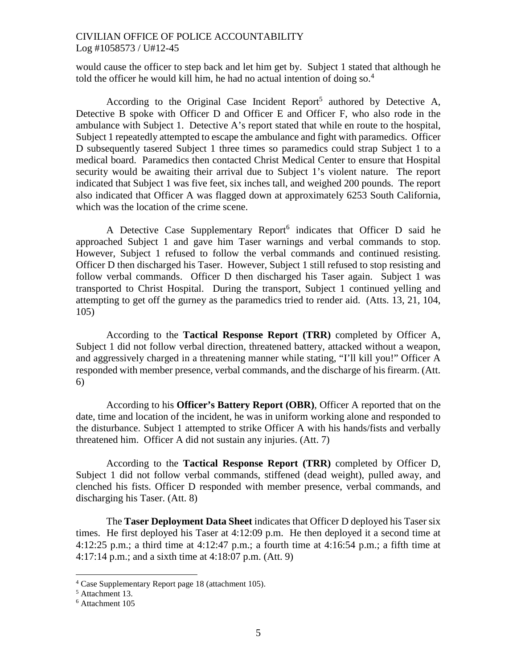would cause the officer to step back and let him get by. Subject 1 stated that although he toldthe officer he would kill him, he had no actual intention of doing so.<sup>4</sup>

According to the Original Case Incident Report<sup>[5](#page-4-1)</sup> authored by Detective A, Detective B spoke with Officer D and Officer E and Officer F, who also rode in the ambulance with Subject 1. Detective A's report stated that while en route to the hospital, Subject 1 repeatedly attempted to escape the ambulance and fight with paramedics. Officer D subsequently tasered Subject 1 three times so paramedics could strap Subject 1 to a medical board. Paramedics then contacted Christ Medical Center to ensure that Hospital security would be awaiting their arrival due to Subject 1's violent nature. The report indicated that Subject 1 was five feet, six inches tall, and weighed 200 pounds. The report also indicated that Officer A was flagged down at approximately 6253 South California, which was the location of the crime scene.

A Detective Case Supplementary Report<sup>[6](#page-4-2)</sup> indicates that Officer D said he approached Subject 1 and gave him Taser warnings and verbal commands to stop. However, Subject 1 refused to follow the verbal commands and continued resisting. Officer D then discharged his Taser. However, Subject 1 still refused to stop resisting and follow verbal commands. Officer D then discharged his Taser again. Subject 1 was transported to Christ Hospital. During the transport, Subject 1 continued yelling and attempting to get off the gurney as the paramedics tried to render aid. (Atts. 13, 21, 104, 105)

According to the **Tactical Response Report (TRR)** completed by Officer A, Subject 1 did not follow verbal direction, threatened battery, attacked without a weapon, and aggressively charged in a threatening manner while stating, "I'll kill you!" Officer A responded with member presence, verbal commands, and the discharge of his firearm. (Att. 6)

According to his **Officer's Battery Report (OBR)**, Officer A reported that on the date, time and location of the incident, he was in uniform working alone and responded to the disturbance. Subject 1 attempted to strike Officer A with his hands/fists and verbally threatened him. Officer A did not sustain any injuries. (Att. 7)

According to the **Tactical Response Report (TRR)** completed by Officer D, Subject 1 did not follow verbal commands, stiffened (dead weight), pulled away, and clenched his fists. Officer D responded with member presence, verbal commands, and discharging his Taser. (Att. 8)

The **Taser Deployment Data Sheet** indicates that Officer D deployed his Taser six times. He first deployed his Taser at 4:12:09 p.m. He then deployed it a second time at 4:12:25 p.m.; a third time at 4:12:47 p.m.; a fourth time at 4:16:54 p.m.; a fifth time at 4:17:14 p.m.; and a sixth time at 4:18:07 p.m. (Att. 9)

<span id="page-4-1"></span><span id="page-4-0"></span><sup>4</sup> Case Supplementary Report page 18 (attachment 105).

<span id="page-4-2"></span><sup>5</sup> Attachment 13.

<sup>6</sup> Attachment 105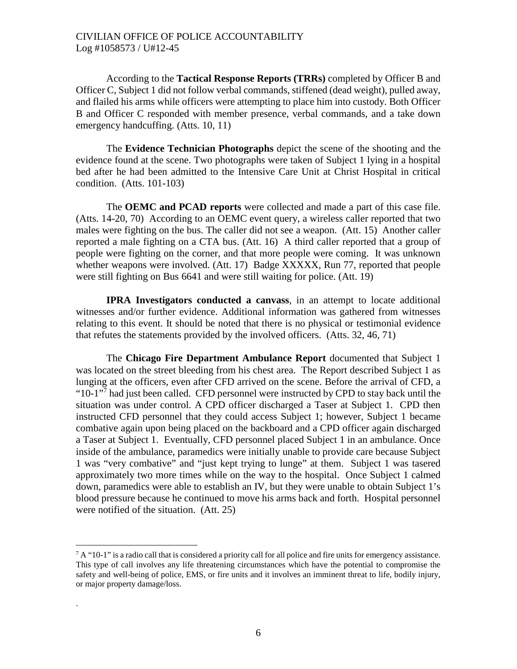According to the **Tactical Response Reports (TRRs)** completed by Officer B and Officer C, Subject 1 did not follow verbal commands, stiffened (dead weight), pulled away, and flailed his arms while officers were attempting to place him into custody. Both Officer B and Officer C responded with member presence, verbal commands, and a take down emergency handcuffing. (Atts. 10, 11)

The **Evidence Technician Photographs** depict the scene of the shooting and the evidence found at the scene. Two photographs were taken of Subject 1 lying in a hospital bed after he had been admitted to the Intensive Care Unit at Christ Hospital in critical condition. (Atts. 101-103)

The **OEMC and PCAD reports** were collected and made a part of this case file. (Atts. 14-20, 70) According to an OEMC event query, a wireless caller reported that two males were fighting on the bus. The caller did not see a weapon. (Att. 15) Another caller reported a male fighting on a CTA bus. (Att. 16) A third caller reported that a group of people were fighting on the corner, and that more people were coming. It was unknown whether weapons were involved. (Att. 17) Badge XXXXX, Run 77, reported that people were still fighting on Bus 6641 and were still waiting for police. (Att. 19)

**IPRA Investigators conducted a canvass**, in an attempt to locate additional witnesses and/or further evidence. Additional information was gathered from witnesses relating to this event. It should be noted that there is no physical or testimonial evidence that refutes the statements provided by the involved officers. (Atts. 32, 46, 71)

The **Chicago Fire Department Ambulance Report** documented that Subject 1 was located on the street bleeding from his chest area. The Report described Subject 1 as lunging at the officers, even after CFD arrived on the scene. Before the arrival of CFD, a "10-1"[7](#page-5-0) had just been called. CFD personnel were instructed by CPD to stay back until the situation was under control. A CPD officer discharged a Taser at Subject 1. CPD then instructed CFD personnel that they could access Subject 1; however, Subject 1 became combative again upon being placed on the backboard and a CPD officer again discharged a Taser at Subject 1. Eventually, CFD personnel placed Subject 1 in an ambulance. Once inside of the ambulance, paramedics were initially unable to provide care because Subject 1 was "very combative" and "just kept trying to lunge" at them. Subject 1 was tasered approximately two more times while on the way to the hospital. Once Subject 1 calmed down, paramedics were able to establish an IV, but they were unable to obtain Subject 1's blood pressure because he continued to move his arms back and forth. Hospital personnel were notified of the situation. (Att. 25)

.

<span id="page-5-0"></span> $7$  A "10-1" is a radio call that is considered a priority call for all police and fire units for emergency assistance. This type of call involves any life threatening circumstances which have the potential to compromise the safety and well-being of police, EMS, or fire units and it involves an imminent threat to life, bodily injury, or major property damage/loss.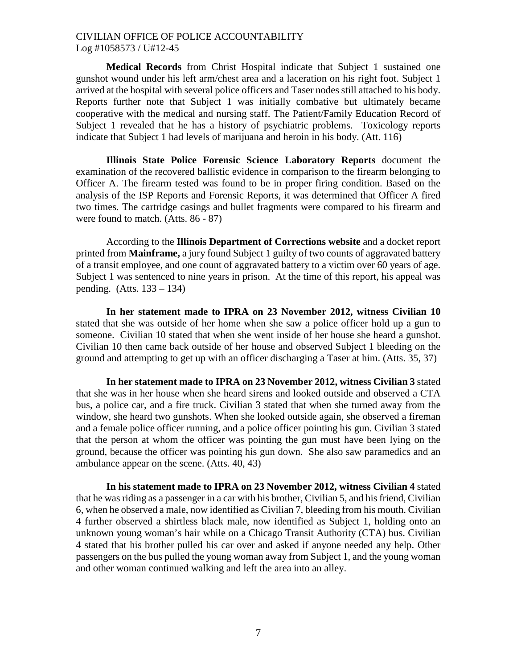**Medical Records** from Christ Hospital indicate that Subject 1 sustained one gunshot wound under his left arm/chest area and a laceration on his right foot. Subject 1 arrived at the hospital with several police officers and Taser nodes still attached to his body. Reports further note that Subject 1 was initially combative but ultimately became cooperative with the medical and nursing staff. The Patient/Family Education Record of Subject 1 revealed that he has a history of psychiatric problems. Toxicology reports indicate that Subject 1 had levels of marijuana and heroin in his body. (Att. 116)

**Illinois State Police Forensic Science Laboratory Reports** document the examination of the recovered ballistic evidence in comparison to the firearm belonging to Officer A. The firearm tested was found to be in proper firing condition. Based on the analysis of the ISP Reports and Forensic Reports, it was determined that Officer A fired two times. The cartridge casings and bullet fragments were compared to his firearm and were found to match. (Atts. 86 - 87)

According to the **Illinois Department of Corrections website** and a docket report printed from **Mainframe,** a jury found Subject 1 guilty of two counts of aggravated battery of a transit employee, and one count of aggravated battery to a victim over 60 years of age. Subject 1 was sentenced to nine years in prison. At the time of this report, his appeal was pending. (Atts. 133 – 134)

**In her statement made to IPRA on 23 November 2012, witness Civilian 10** stated that she was outside of her home when she saw a police officer hold up a gun to someone. Civilian 10 stated that when she went inside of her house she heard a gunshot. Civilian 10 then came back outside of her house and observed Subject 1 bleeding on the ground and attempting to get up with an officer discharging a Taser at him. (Atts. 35, 37)

**In her statement made to IPRA on 23 November 2012, witness Civilian 3** stated that she was in her house when she heard sirens and looked outside and observed a CTA bus, a police car, and a fire truck. Civilian 3 stated that when she turned away from the window, she heard two gunshots. When she looked outside again, she observed a fireman and a female police officer running, and a police officer pointing his gun. Civilian 3 stated that the person at whom the officer was pointing the gun must have been lying on the ground, because the officer was pointing his gun down. She also saw paramedics and an ambulance appear on the scene. (Atts. 40, 43)

**In his statement made to IPRA on 23 November 2012, witness Civilian 4** stated that he was riding as a passenger in a car with his brother, Civilian 5, and his friend, Civilian 6, when he observed a male, now identified as Civilian 7, bleeding from his mouth. Civilian 4 further observed a shirtless black male, now identified as Subject 1, holding onto an unknown young woman's hair while on a Chicago Transit Authority (CTA) bus. Civilian 4 stated that his brother pulled his car over and asked if anyone needed any help. Other passengers on the bus pulled the young woman away from Subject 1, and the young woman and other woman continued walking and left the area into an alley.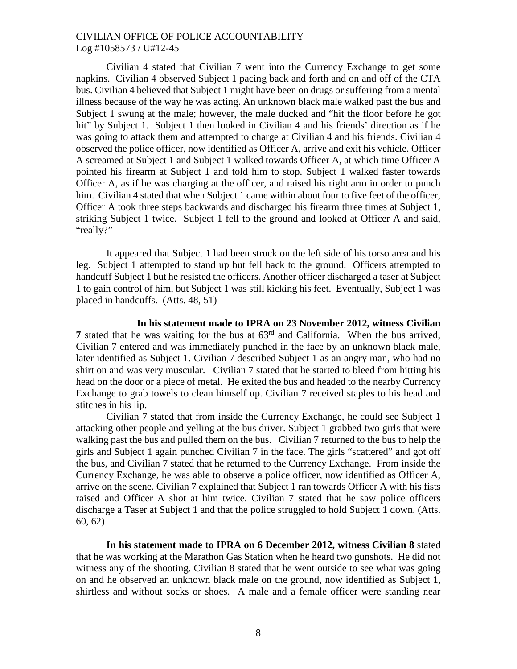Civilian 4 stated that Civilian 7 went into the Currency Exchange to get some napkins. Civilian 4 observed Subject 1 pacing back and forth and on and off of the CTA bus. Civilian 4 believed that Subject 1 might have been on drugs or suffering from a mental illness because of the way he was acting. An unknown black male walked past the bus and Subject 1 swung at the male; however, the male ducked and "hit the floor before he got hit" by Subject 1. Subject 1 then looked in Civilian 4 and his friends' direction as if he was going to attack them and attempted to charge at Civilian 4 and his friends. Civilian 4 observed the police officer, now identified as Officer A, arrive and exit his vehicle. Officer A screamed at Subject 1 and Subject 1 walked towards Officer A, at which time Officer A pointed his firearm at Subject 1 and told him to stop. Subject 1 walked faster towards Officer A, as if he was charging at the officer, and raised his right arm in order to punch him. Civilian 4 stated that when Subject 1 came within about four to five feet of the officer, Officer A took three steps backwards and discharged his firearm three times at Subject 1, striking Subject 1 twice. Subject 1 fell to the ground and looked at Officer A and said, "really?"

It appeared that Subject 1 had been struck on the left side of his torso area and his leg. Subject 1 attempted to stand up but fell back to the ground. Officers attempted to handcuff Subject 1 but he resisted the officers. Another officer discharged a taser at Subject 1 to gain control of him, but Subject 1 was still kicking his feet. Eventually, Subject 1 was placed in handcuffs. (Atts. 48, 51)

#### **In his statement made to IPRA on 23 November 2012, witness Civilian**

**7** stated that he was waiting for the bus at  $63<sup>rd</sup>$  and California. When the bus arrived, Civilian 7 entered and was immediately punched in the face by an unknown black male, later identified as Subject 1. Civilian 7 described Subject 1 as an angry man, who had no shirt on and was very muscular. Civilian 7 stated that he started to bleed from hitting his head on the door or a piece of metal. He exited the bus and headed to the nearby Currency Exchange to grab towels to clean himself up. Civilian 7 received staples to his head and stitches in his lip.

Civilian 7 stated that from inside the Currency Exchange, he could see Subject 1 attacking other people and yelling at the bus driver. Subject 1 grabbed two girls that were walking past the bus and pulled them on the bus. Civilian 7 returned to the bus to help the girls and Subject 1 again punched Civilian 7 in the face. The girls "scattered" and got off the bus, and Civilian 7 stated that he returned to the Currency Exchange. From inside the Currency Exchange, he was able to observe a police officer, now identified as Officer A, arrive on the scene. Civilian 7 explained that Subject 1 ran towards Officer A with his fists raised and Officer A shot at him twice. Civilian 7 stated that he saw police officers discharge a Taser at Subject 1 and that the police struggled to hold Subject 1 down. (Atts. 60, 62)

**In his statement made to IPRA on 6 December 2012, witness Civilian 8** stated that he was working at the Marathon Gas Station when he heard two gunshots. He did not witness any of the shooting. Civilian 8 stated that he went outside to see what was going on and he observed an unknown black male on the ground, now identified as Subject 1, shirtless and without socks or shoes. A male and a female officer were standing near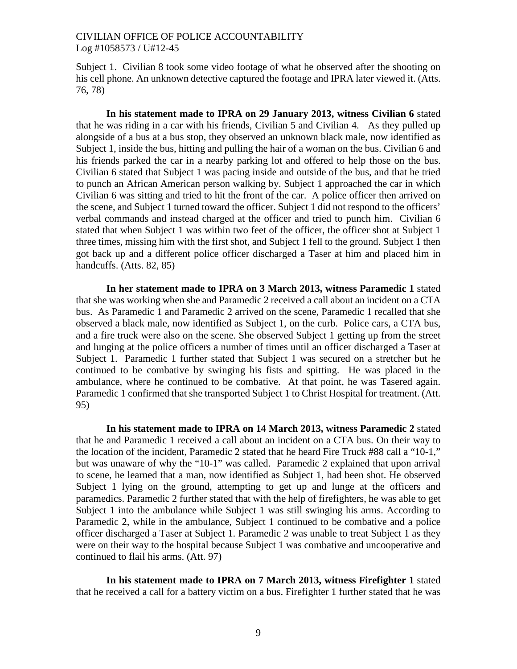Subject 1. Civilian 8 took some video footage of what he observed after the shooting on his cell phone. An unknown detective captured the footage and IPRA later viewed it. (Atts. 76, 78)

**In his statement made to IPRA on 29 January 2013, witness Civilian 6** stated that he was riding in a car with his friends, Civilian 5 and Civilian 4. As they pulled up alongside of a bus at a bus stop, they observed an unknown black male, now identified as Subject 1, inside the bus, hitting and pulling the hair of a woman on the bus. Civilian 6 and his friends parked the car in a nearby parking lot and offered to help those on the bus. Civilian 6 stated that Subject 1 was pacing inside and outside of the bus, and that he tried to punch an African American person walking by. Subject 1 approached the car in which Civilian 6 was sitting and tried to hit the front of the car. A police officer then arrived on the scene, and Subject 1 turned toward the officer. Subject 1 did not respond to the officers' verbal commands and instead charged at the officer and tried to punch him. Civilian 6 stated that when Subject 1 was within two feet of the officer, the officer shot at Subject 1 three times, missing him with the first shot, and Subject 1 fell to the ground. Subject 1 then got back up and a different police officer discharged a Taser at him and placed him in handcuffs. (Atts. 82, 85)

**In her statement made to IPRA on 3 March 2013, witness Paramedic 1** stated that she was working when she and Paramedic 2 received a call about an incident on a CTA bus. As Paramedic 1 and Paramedic 2 arrived on the scene, Paramedic 1 recalled that she observed a black male, now identified as Subject 1, on the curb. Police cars, a CTA bus, and a fire truck were also on the scene. She observed Subject 1 getting up from the street and lunging at the police officers a number of times until an officer discharged a Taser at Subject 1. Paramedic 1 further stated that Subject 1 was secured on a stretcher but he continued to be combative by swinging his fists and spitting. He was placed in the ambulance, where he continued to be combative. At that point, he was Tasered again. Paramedic 1 confirmed that she transported Subject 1 to Christ Hospital for treatment. (Att. 95)

**In his statement made to IPRA on 14 March 2013, witness Paramedic 2** stated that he and Paramedic 1 received a call about an incident on a CTA bus. On their way to the location of the incident, Paramedic 2 stated that he heard Fire Truck #88 call a "10-1," but was unaware of why the "10-1" was called. Paramedic 2 explained that upon arrival to scene, he learned that a man, now identified as Subject 1, had been shot. He observed Subject 1 lying on the ground, attempting to get up and lunge at the officers and paramedics. Paramedic 2 further stated that with the help of firefighters, he was able to get Subject 1 into the ambulance while Subject 1 was still swinging his arms. According to Paramedic 2, while in the ambulance, Subject 1 continued to be combative and a police officer discharged a Taser at Subject 1. Paramedic 2 was unable to treat Subject 1 as they were on their way to the hospital because Subject 1 was combative and uncooperative and continued to flail his arms. (Att. 97)

**In his statement made to IPRA on 7 March 2013, witness Firefighter 1** stated that he received a call for a battery victim on a bus. Firefighter 1 further stated that he was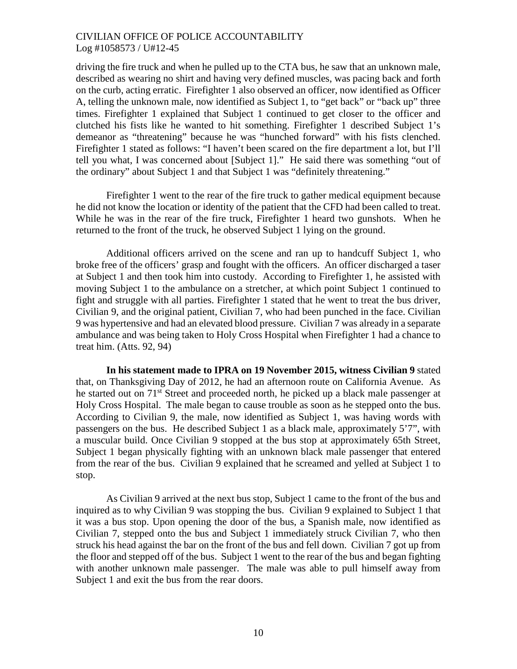driving the fire truck and when he pulled up to the CTA bus, he saw that an unknown male, described as wearing no shirt and having very defined muscles, was pacing back and forth on the curb, acting erratic. Firefighter 1 also observed an officer, now identified as Officer A, telling the unknown male, now identified as Subject 1, to "get back" or "back up" three times. Firefighter 1 explained that Subject 1 continued to get closer to the officer and clutched his fists like he wanted to hit something. Firefighter 1 described Subject 1's demeanor as "threatening" because he was "hunched forward" with his fists clenched. Firefighter 1 stated as follows: "I haven't been scared on the fire department a lot, but I'll tell you what, I was concerned about [Subject 1]." He said there was something "out of the ordinary" about Subject 1 and that Subject 1 was "definitely threatening."

Firefighter 1 went to the rear of the fire truck to gather medical equipment because he did not know the location or identity of the patient that the CFD had been called to treat. While he was in the rear of the fire truck, Firefighter 1 heard two gunshots. When he returned to the front of the truck, he observed Subject 1 lying on the ground.

Additional officers arrived on the scene and ran up to handcuff Subject 1, who broke free of the officers' grasp and fought with the officers. An officer discharged a taser at Subject 1 and then took him into custody. According to Firefighter 1, he assisted with moving Subject 1 to the ambulance on a stretcher, at which point Subject 1 continued to fight and struggle with all parties. Firefighter 1 stated that he went to treat the bus driver, Civilian 9, and the original patient, Civilian 7, who had been punched in the face. Civilian 9 was hypertensive and had an elevated blood pressure. Civilian 7 was already in a separate ambulance and was being taken to Holy Cross Hospital when Firefighter 1 had a chance to treat him. (Atts. 92, 94)

**In his statement made to IPRA on 19 November 2015, witness Civilian 9** stated that, on Thanksgiving Day of 2012, he had an afternoon route on California Avenue. As he started out on 71<sup>st</sup> Street and proceeded north, he picked up a black male passenger at Holy Cross Hospital. The male began to cause trouble as soon as he stepped onto the bus. According to Civilian 9, the male, now identified as Subject 1, was having words with passengers on the bus. He described Subject 1 as a black male, approximately 5'7", with a muscular build. Once Civilian 9 stopped at the bus stop at approximately 65th Street, Subject 1 began physically fighting with an unknown black male passenger that entered from the rear of the bus. Civilian 9 explained that he screamed and yelled at Subject 1 to stop.

As Civilian 9 arrived at the next bus stop, Subject 1 came to the front of the bus and inquired as to why Civilian 9 was stopping the bus. Civilian 9 explained to Subject 1 that it was a bus stop. Upon opening the door of the bus, a Spanish male, now identified as Civilian 7, stepped onto the bus and Subject 1 immediately struck Civilian 7, who then struck his head against the bar on the front of the bus and fell down. Civilian 7 got up from the floor and stepped off of the bus. Subject 1 went to the rear of the bus and began fighting with another unknown male passenger. The male was able to pull himself away from Subject 1 and exit the bus from the rear doors.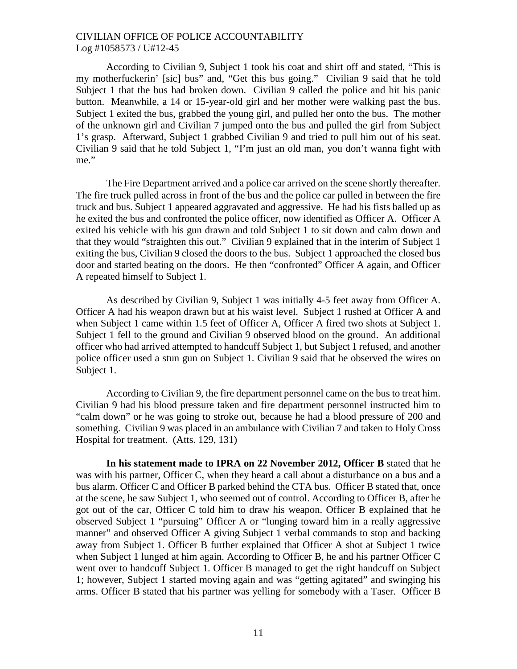According to Civilian 9, Subject 1 took his coat and shirt off and stated, "This is my motherfuckerin' [sic] bus" and, "Get this bus going." Civilian 9 said that he told Subject 1 that the bus had broken down. Civilian 9 called the police and hit his panic button. Meanwhile, a 14 or 15-year-old girl and her mother were walking past the bus. Subject 1 exited the bus, grabbed the young girl, and pulled her onto the bus. The mother of the unknown girl and Civilian 7 jumped onto the bus and pulled the girl from Subject 1's grasp. Afterward, Subject 1 grabbed Civilian 9 and tried to pull him out of his seat. Civilian 9 said that he told Subject 1, "I'm just an old man, you don't wanna fight with me."

The Fire Department arrived and a police car arrived on the scene shortly thereafter. The fire truck pulled across in front of the bus and the police car pulled in between the fire truck and bus. Subject 1 appeared aggravated and aggressive. He had his fists balled up as he exited the bus and confronted the police officer, now identified as Officer A. Officer A exited his vehicle with his gun drawn and told Subject 1 to sit down and calm down and that they would "straighten this out." Civilian 9 explained that in the interim of Subject 1 exiting the bus, Civilian 9 closed the doors to the bus. Subject 1 approached the closed bus door and started beating on the doors. He then "confronted" Officer A again, and Officer A repeated himself to Subject 1.

As described by Civilian 9, Subject 1 was initially 4-5 feet away from Officer A. Officer A had his weapon drawn but at his waist level. Subject 1 rushed at Officer A and when Subject 1 came within 1.5 feet of Officer A, Officer A fired two shots at Subject 1. Subject 1 fell to the ground and Civilian 9 observed blood on the ground. An additional officer who had arrived attempted to handcuff Subject 1, but Subject 1 refused, and another police officer used a stun gun on Subject 1. Civilian 9 said that he observed the wires on Subject 1.

According to Civilian 9, the fire department personnel came on the bus to treat him. Civilian 9 had his blood pressure taken and fire department personnel instructed him to "calm down" or he was going to stroke out, because he had a blood pressure of 200 and something. Civilian 9 was placed in an ambulance with Civilian 7 and taken to Holy Cross Hospital for treatment. (Atts. 129, 131)

**In his statement made to IPRA on 22 November 2012, Officer B** stated that he was with his partner, Officer C, when they heard a call about a disturbance on a bus and a bus alarm. Officer C and Officer B parked behind the CTA bus. Officer B stated that, once at the scene, he saw Subject 1, who seemed out of control. According to Officer B, after he got out of the car, Officer C told him to draw his weapon. Officer B explained that he observed Subject 1 "pursuing" Officer A or "lunging toward him in a really aggressive manner" and observed Officer A giving Subject 1 verbal commands to stop and backing away from Subject 1. Officer B further explained that Officer A shot at Subject 1 twice when Subject 1 lunged at him again. According to Officer B, he and his partner Officer C went over to handcuff Subject 1. Officer B managed to get the right handcuff on Subject 1; however, Subject 1 started moving again and was "getting agitated" and swinging his arms. Officer B stated that his partner was yelling for somebody with a Taser. Officer B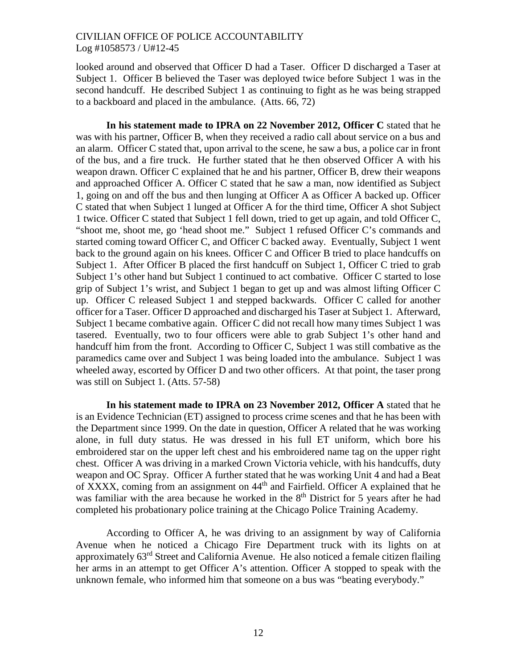looked around and observed that Officer D had a Taser. Officer D discharged a Taser at Subject 1. Officer B believed the Taser was deployed twice before Subject 1 was in the second handcuff. He described Subject 1 as continuing to fight as he was being strapped to a backboard and placed in the ambulance. (Atts. 66, 72)

**In his statement made to IPRA on 22 November 2012, Officer C** stated that he was with his partner, Officer B, when they received a radio call about service on a bus and an alarm. Officer C stated that, upon arrival to the scene, he saw a bus, a police car in front of the bus, and a fire truck. He further stated that he then observed Officer A with his weapon drawn. Officer C explained that he and his partner, Officer B, drew their weapons and approached Officer A. Officer C stated that he saw a man, now identified as Subject 1, going on and off the bus and then lunging at Officer A as Officer A backed up. Officer C stated that when Subject 1 lunged at Officer A for the third time, Officer A shot Subject 1 twice. Officer C stated that Subject 1 fell down, tried to get up again, and told Officer C, "shoot me, shoot me, go 'head shoot me." Subject 1 refused Officer C's commands and started coming toward Officer C, and Officer C backed away. Eventually, Subject 1 went back to the ground again on his knees. Officer C and Officer B tried to place handcuffs on Subject 1. After Officer B placed the first handcuff on Subject 1, Officer C tried to grab Subject 1's other hand but Subject 1 continued to act combative. Officer C started to lose grip of Subject 1's wrist, and Subject 1 began to get up and was almost lifting Officer C up. Officer C released Subject 1 and stepped backwards. Officer C called for another officer for a Taser. Officer D approached and discharged his Taser at Subject 1. Afterward, Subject 1 became combative again. Officer C did not recall how many times Subject 1 was tasered. Eventually, two to four officers were able to grab Subject 1's other hand and handcuff him from the front. According to Officer C, Subject 1 was still combative as the paramedics came over and Subject 1 was being loaded into the ambulance. Subject 1 was wheeled away, escorted by Officer D and two other officers. At that point, the taser prong was still on Subject 1. (Atts. 57-58)

**In his statement made to IPRA on 23 November 2012, Officer A** stated that he is an Evidence Technician (ET) assigned to process crime scenes and that he has been with the Department since 1999. On the date in question, Officer A related that he was working alone, in full duty status. He was dressed in his full ET uniform, which bore his embroidered star on the upper left chest and his embroidered name tag on the upper right chest. Officer A was driving in a marked Crown Victoria vehicle, with his handcuffs, duty weapon and OC Spray. Officer A further stated that he was working Unit 4 and had a Beat of XXXX, coming from an assignment on 44th and Fairfield. Officer A explained that he was familiar with the area because he worked in the  $8<sup>th</sup>$  District for 5 years after he had completed his probationary police training at the Chicago Police Training Academy.

According to Officer A, he was driving to an assignment by way of California Avenue when he noticed a Chicago Fire Department truck with its lights on at approximately 63rd Street and California Avenue. He also noticed a female citizen flailing her arms in an attempt to get Officer A's attention. Officer A stopped to speak with the unknown female, who informed him that someone on a bus was "beating everybody."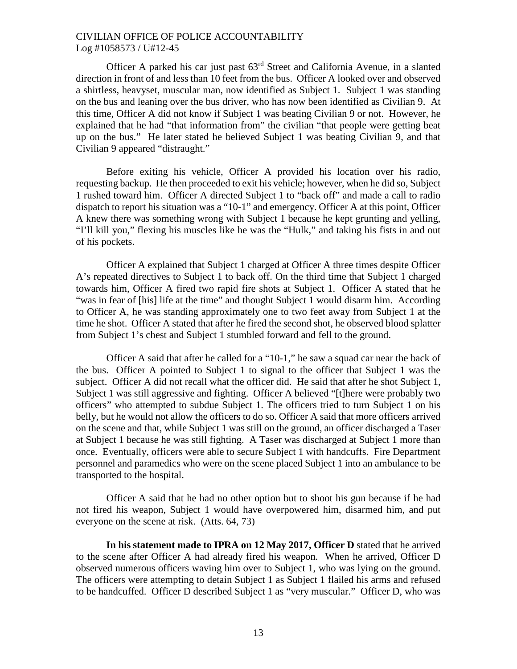Officer A parked his car just past 63rd Street and California Avenue, in a slanted direction in front of and less than 10 feet from the bus. Officer A looked over and observed a shirtless, heavyset, muscular man, now identified as Subject 1. Subject 1 was standing on the bus and leaning over the bus driver, who has now been identified as Civilian 9. At this time, Officer A did not know if Subject 1 was beating Civilian 9 or not. However, he explained that he had "that information from" the civilian "that people were getting beat up on the bus." He later stated he believed Subject 1 was beating Civilian 9, and that Civilian 9 appeared "distraught."

Before exiting his vehicle, Officer A provided his location over his radio, requesting backup. He then proceeded to exit his vehicle; however, when he did so, Subject 1 rushed toward him. Officer A directed Subject 1 to "back off" and made a call to radio dispatch to report his situation was a "10-1" and emergency. Officer A at this point, Officer A knew there was something wrong with Subject 1 because he kept grunting and yelling, "I'll kill you," flexing his muscles like he was the "Hulk," and taking his fists in and out of his pockets.

Officer A explained that Subject 1 charged at Officer A three times despite Officer A's repeated directives to Subject 1 to back off. On the third time that Subject 1 charged towards him, Officer A fired two rapid fire shots at Subject 1. Officer A stated that he "was in fear of [his] life at the time" and thought Subject 1 would disarm him. According to Officer A, he was standing approximately one to two feet away from Subject 1 at the time he shot. Officer A stated that after he fired the second shot, he observed blood splatter from Subject 1's chest and Subject 1 stumbled forward and fell to the ground.

Officer A said that after he called for a "10-1," he saw a squad car near the back of the bus. Officer A pointed to Subject 1 to signal to the officer that Subject 1 was the subject. Officer A did not recall what the officer did. He said that after he shot Subject 1, Subject 1 was still aggressive and fighting. Officer A believed "[t]here were probably two officers" who attempted to subdue Subject 1. The officers tried to turn Subject 1 on his belly, but he would not allow the officers to do so. Officer A said that more officers arrived on the scene and that, while Subject 1 was still on the ground, an officer discharged a Taser at Subject 1 because he was still fighting. A Taser was discharged at Subject 1 more than once. Eventually, officers were able to secure Subject 1 with handcuffs. Fire Department personnel and paramedics who were on the scene placed Subject 1 into an ambulance to be transported to the hospital.

Officer A said that he had no other option but to shoot his gun because if he had not fired his weapon, Subject 1 would have overpowered him, disarmed him, and put everyone on the scene at risk. (Atts. 64, 73)

**In his statement made to IPRA on 12 May 2017, Officer D** stated that he arrived to the scene after Officer A had already fired his weapon. When he arrived, Officer D observed numerous officers waving him over to Subject 1, who was lying on the ground. The officers were attempting to detain Subject 1 as Subject 1 flailed his arms and refused to be handcuffed. Officer D described Subject 1 as "very muscular." Officer D, who was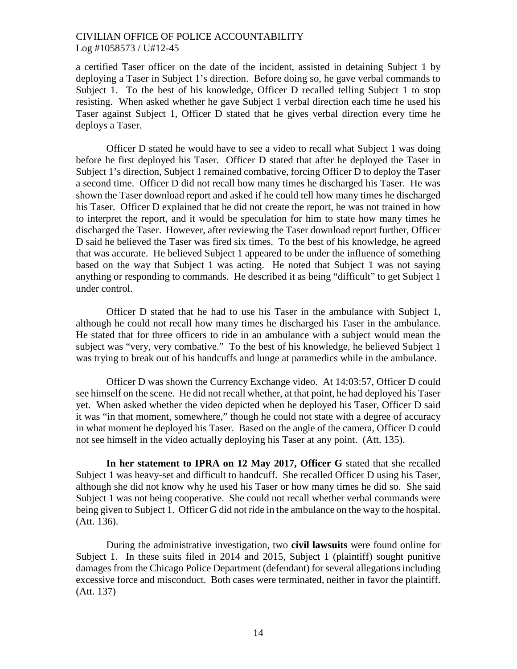a certified Taser officer on the date of the incident, assisted in detaining Subject 1 by deploying a Taser in Subject 1's direction. Before doing so, he gave verbal commands to Subject 1. To the best of his knowledge, Officer D recalled telling Subject 1 to stop resisting. When asked whether he gave Subject 1 verbal direction each time he used his Taser against Subject 1, Officer D stated that he gives verbal direction every time he deploys a Taser.

Officer D stated he would have to see a video to recall what Subject 1 was doing before he first deployed his Taser. Officer D stated that after he deployed the Taser in Subject 1's direction, Subject 1 remained combative, forcing Officer D to deploy the Taser a second time. Officer D did not recall how many times he discharged his Taser. He was shown the Taser download report and asked if he could tell how many times he discharged his Taser. Officer D explained that he did not create the report, he was not trained in how to interpret the report, and it would be speculation for him to state how many times he discharged the Taser. However, after reviewing the Taser download report further, Officer D said he believed the Taser was fired six times. To the best of his knowledge, he agreed that was accurate. He believed Subject 1 appeared to be under the influence of something based on the way that Subject 1 was acting. He noted that Subject 1 was not saying anything or responding to commands. He described it as being "difficult" to get Subject 1 under control.

Officer D stated that he had to use his Taser in the ambulance with Subject 1, although he could not recall how many times he discharged his Taser in the ambulance. He stated that for three officers to ride in an ambulance with a subject would mean the subject was "very, very combative." To the best of his knowledge, he believed Subject 1 was trying to break out of his handcuffs and lunge at paramedics while in the ambulance.

Officer D was shown the Currency Exchange video. At 14:03:57, Officer D could see himself on the scene. He did not recall whether, at that point, he had deployed his Taser yet. When asked whether the video depicted when he deployed his Taser, Officer D said it was "in that moment, somewhere," though he could not state with a degree of accuracy in what moment he deployed his Taser. Based on the angle of the camera, Officer D could not see himself in the video actually deploying his Taser at any point. (Att. 135).

**In her statement to IPRA on 12 May 2017, Officer G** stated that she recalled Subject 1 was heavy-set and difficult to handcuff. She recalled Officer D using his Taser, although she did not know why he used his Taser or how many times he did so. She said Subject 1 was not being cooperative. She could not recall whether verbal commands were being given to Subject 1. Officer G did not ride in the ambulance on the way to the hospital. (Att. 136).

During the administrative investigation, two **civil lawsuits** were found online for Subject 1. In these suits filed in 2014 and 2015, Subject 1 (plaintiff) sought punitive damages from the Chicago Police Department (defendant) for several allegations including excessive force and misconduct. Both cases were terminated, neither in favor the plaintiff. (Att. 137)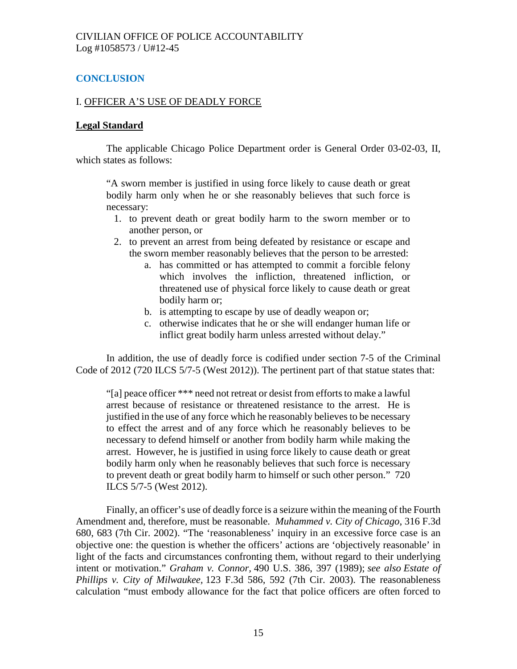# **CONCLUSION**

## I. OFFICER A'S USE OF DEADLY FORCE

### **Legal Standard**

The applicable Chicago Police Department order is General Order 03-02-03, II, which states as follows:

"A sworn member is justified in using force likely to cause death or great bodily harm only when he or she reasonably believes that such force is necessary:

- 1. to prevent death or great bodily harm to the sworn member or to another person, or
- 2. to prevent an arrest from being defeated by resistance or escape and the sworn member reasonably believes that the person to be arrested:
	- a. has committed or has attempted to commit a forcible felony which involves the infliction, threatened infliction, or threatened use of physical force likely to cause death or great bodily harm or;
	- b. is attempting to escape by use of deadly weapon or;
	- c. otherwise indicates that he or she will endanger human life or inflict great bodily harm unless arrested without delay."

In addition, the use of deadly force is codified under section 7-5 of the Criminal Code of 2012 (720 ILCS 5/7-5 (West 2012)). The pertinent part of that statue states that:

"[a] peace officer \*\*\* need not retreat or desist from efforts to make a lawful arrest because of resistance or threatened resistance to the arrest. He is justified in the use of any force which he reasonably believes to be necessary to effect the arrest and of any force which he reasonably believes to be necessary to defend himself or another from bodily harm while making the arrest. However, he is justified in using force likely to cause death or great bodily harm only when he reasonably believes that such force is necessary to prevent death or great bodily harm to himself or such other person." 720 ILCS 5/7-5 (West 2012).

Finally, an officer's use of deadly force is a seizure within the meaning of the Fourth Amendment and, therefore, must be reasonable. *Muhammed v. City of Chicago*, 316 F.3d 680, 683 (7th Cir. 2002). "The 'reasonableness' inquiry in an excessive force case is an objective one: the question is whether the officers' actions are 'objectively reasonable' in light of the facts and circumstances confronting them, without regard to their underlying intent or motivation." *Graham v. Connor,* 490 U.S. 386, 397 (1989); *see also Estate of Phillips v. City of Milwaukee,* 123 F.3d 586, 592 (7th Cir. 2003). The reasonableness calculation "must embody allowance for the fact that police officers are often forced to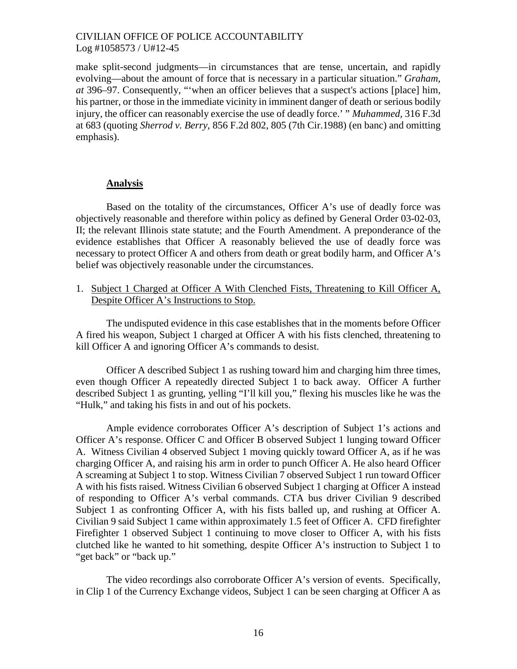make split-second judgments—in circumstances that are tense, uncertain, and rapidly evolving—about the amount of force that is necessary in a particular situation." *Graham, at* 396–97. Consequently, "'when an officer believes that a suspect's actions [place] him, his partner, or those in the immediate vicinity in imminent danger of death or serious bodily injury, the officer can reasonably exercise the use of deadly force.' " *Muhammed,* 316 F.3d at 683 (quoting *Sherrod v. Berry,* 856 F.2d 802, 805 (7th Cir.1988) (en banc) and omitting emphasis).

### **Analysis**

Based on the totality of the circumstances, Officer A's use of deadly force was objectively reasonable and therefore within policy as defined by General Order 03-02-03, II; the relevant Illinois state statute; and the Fourth Amendment. A preponderance of the evidence establishes that Officer A reasonably believed the use of deadly force was necessary to protect Officer A and others from death or great bodily harm, and Officer A's belief was objectively reasonable under the circumstances.

1. Subject 1 Charged at Officer A With Clenched Fists, Threatening to Kill Officer A, Despite Officer A's Instructions to Stop.

The undisputed evidence in this case establishes that in the moments before Officer A fired his weapon, Subject 1 charged at Officer A with his fists clenched, threatening to kill Officer A and ignoring Officer A's commands to desist.

Officer A described Subject 1 as rushing toward him and charging him three times, even though Officer A repeatedly directed Subject 1 to back away. Officer A further described Subject 1 as grunting, yelling "I'll kill you," flexing his muscles like he was the "Hulk," and taking his fists in and out of his pockets.

Ample evidence corroborates Officer A's description of Subject 1's actions and Officer A's response. Officer C and Officer B observed Subject 1 lunging toward Officer A. Witness Civilian 4 observed Subject 1 moving quickly toward Officer A, as if he was charging Officer A, and raising his arm in order to punch Officer A. He also heard Officer A screaming at Subject 1 to stop. Witness Civilian 7 observed Subject 1 run toward Officer A with his fists raised. Witness Civilian 6 observed Subject 1 charging at Officer A instead of responding to Officer A's verbal commands. CTA bus driver Civilian 9 described Subject 1 as confronting Officer A, with his fists balled up, and rushing at Officer A. Civilian 9 said Subject 1 came within approximately 1.5 feet of Officer A. CFD firefighter Firefighter 1 observed Subject 1 continuing to move closer to Officer A, with his fists clutched like he wanted to hit something, despite Officer A's instruction to Subject 1 to "get back" or "back up."

The video recordings also corroborate Officer A's version of events. Specifically, in Clip 1 of the Currency Exchange videos, Subject 1 can be seen charging at Officer A as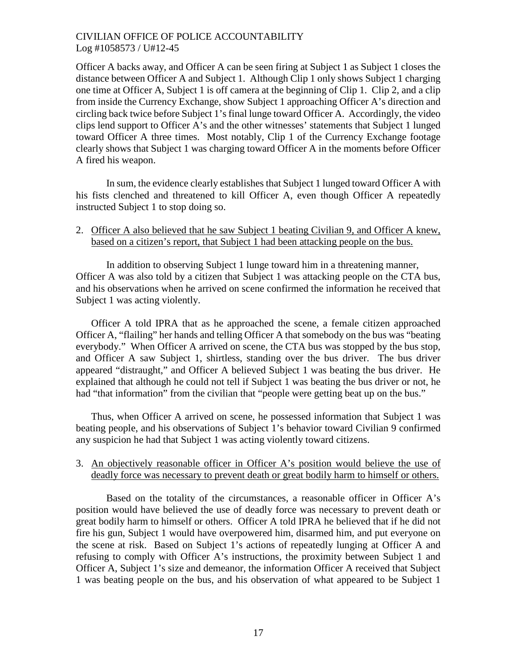Officer A backs away, and Officer A can be seen firing at Subject 1 as Subject 1 closes the distance between Officer A and Subject 1. Although Clip 1 only shows Subject 1 charging one time at Officer A, Subject 1 is off camera at the beginning of Clip 1. Clip 2, and a clip from inside the Currency Exchange, show Subject 1 approaching Officer A's direction and circling back twice before Subject 1's final lunge toward Officer A. Accordingly, the video clips lend support to Officer A's and the other witnesses' statements that Subject 1 lunged toward Officer A three times. Most notably, Clip 1 of the Currency Exchange footage clearly shows that Subject 1 was charging toward Officer A in the moments before Officer A fired his weapon.

In sum, the evidence clearly establishes that Subject 1 lunged toward Officer A with his fists clenched and threatened to kill Officer A, even though Officer A repeatedly instructed Subject 1 to stop doing so.

### 2. Officer A also believed that he saw Subject 1 beating Civilian 9, and Officer A knew, based on a citizen's report, that Subject 1 had been attacking people on the bus.

In addition to observing Subject 1 lunge toward him in a threatening manner, Officer A was also told by a citizen that Subject 1 was attacking people on the CTA bus, and his observations when he arrived on scene confirmed the information he received that Subject 1 was acting violently.

Officer A told IPRA that as he approached the scene, a female citizen approached Officer A, "flailing" her hands and telling Officer A that somebody on the bus was "beating everybody." When Officer A arrived on scene, the CTA bus was stopped by the bus stop, and Officer A saw Subject 1, shirtless, standing over the bus driver. The bus driver appeared "distraught," and Officer A believed Subject 1 was beating the bus driver. He explained that although he could not tell if Subject 1 was beating the bus driver or not, he had "that information" from the civilian that "people were getting beat up on the bus."

Thus, when Officer A arrived on scene, he possessed information that Subject 1 was beating people, and his observations of Subject 1's behavior toward Civilian 9 confirmed any suspicion he had that Subject 1 was acting violently toward citizens.

## 3. An objectively reasonable officer in Officer A's position would believe the use of deadly force was necessary to prevent death or great bodily harm to himself or others.

Based on the totality of the circumstances, a reasonable officer in Officer A's position would have believed the use of deadly force was necessary to prevent death or great bodily harm to himself or others. Officer A told IPRA he believed that if he did not fire his gun, Subject 1 would have overpowered him, disarmed him, and put everyone on the scene at risk. Based on Subject 1's actions of repeatedly lunging at Officer A and refusing to comply with Officer A's instructions, the proximity between Subject 1 and Officer A, Subject 1's size and demeanor, the information Officer A received that Subject 1 was beating people on the bus, and his observation of what appeared to be Subject 1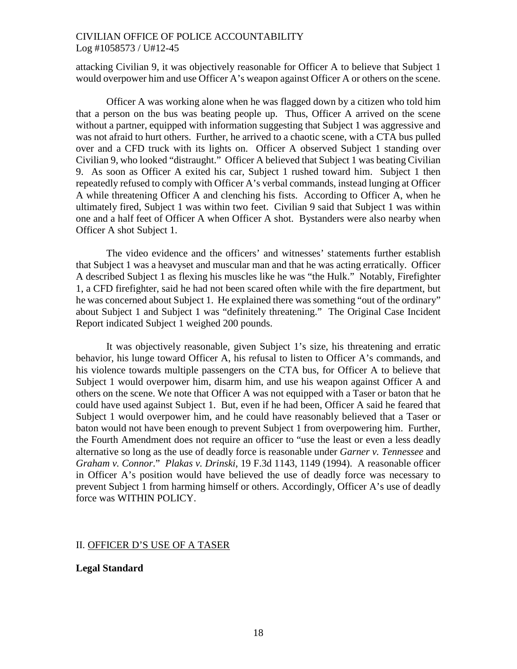attacking Civilian 9, it was objectively reasonable for Officer A to believe that Subject 1 would overpower him and use Officer A's weapon against Officer A or others on the scene.

Officer A was working alone when he was flagged down by a citizen who told him that a person on the bus was beating people up. Thus, Officer A arrived on the scene without a partner, equipped with information suggesting that Subject 1 was aggressive and was not afraid to hurt others. Further, he arrived to a chaotic scene, with a CTA bus pulled over and a CFD truck with its lights on. Officer A observed Subject 1 standing over Civilian 9, who looked "distraught." Officer A believed that Subject 1 was beating Civilian 9. As soon as Officer A exited his car, Subject 1 rushed toward him. Subject 1 then repeatedly refused to comply with Officer A's verbal commands, instead lunging at Officer A while threatening Officer A and clenching his fists. According to Officer A, when he ultimately fired, Subject 1 was within two feet. Civilian 9 said that Subject 1 was within one and a half feet of Officer A when Officer A shot. Bystanders were also nearby when Officer A shot Subject 1.

The video evidence and the officers' and witnesses' statements further establish that Subject 1 was a heavyset and muscular man and that he was acting erratically. Officer A described Subject 1 as flexing his muscles like he was "the Hulk." Notably, Firefighter 1, a CFD firefighter, said he had not been scared often while with the fire department, but he was concerned about Subject 1. He explained there was something "out of the ordinary" about Subject 1 and Subject 1 was "definitely threatening." The Original Case Incident Report indicated Subject 1 weighed 200 pounds.

It was objectively reasonable, given Subject 1's size, his threatening and erratic behavior, his lunge toward Officer A, his refusal to listen to Officer A's commands, and his violence towards multiple passengers on the CTA bus, for Officer A to believe that Subject 1 would overpower him, disarm him, and use his weapon against Officer A and others on the scene. We note that Officer A was not equipped with a Taser or baton that he could have used against Subject 1. But, even if he had been, Officer A said he feared that Subject 1 would overpower him, and he could have reasonably believed that a Taser or baton would not have been enough to prevent Subject 1 from overpowering him. Further, the Fourth Amendment does not require an officer to "use the least or even a less deadly alternative so long as the use of deadly force is reasonable under *Garner v. Tennessee* and *Graham v. Connor*." *Plakas v. Drinski*, 19 F.3d 1143, 1149 (1994). A reasonable officer in Officer A's position would have believed the use of deadly force was necessary to prevent Subject 1 from harming himself or others. Accordingly, Officer A's use of deadly force was WITHIN POLICY.

### II. OFFICER D'S USE OF A TASER

### **Legal Standard**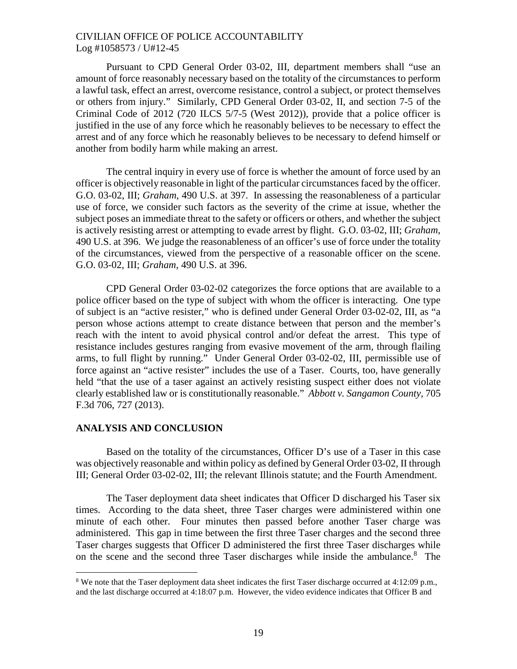Pursuant to CPD General Order 03-02, III, department members shall "use an amount of force reasonably necessary based on the totality of the circumstances to perform a lawful task, effect an arrest, overcome resistance, control a subject, or protect themselves or others from injury." Similarly, CPD General Order 03-02, II, and section 7-5 of the Criminal Code of 2012 (720 ILCS 5/7-5 (West 2012)), provide that a police officer is justified in the use of any force which he reasonably believes to be necessary to effect the arrest and of any force which he reasonably believes to be necessary to defend himself or another from bodily harm while making an arrest.

The central inquiry in every use of force is whether the amount of force used by an officer is objectively reasonable in light of the particular circumstances faced by the officer. G.O. 03-02, III; *Graham*, 490 U.S. at 397. In assessing the reasonableness of a particular use of force, we consider such factors as the severity of the crime at issue, whether the subject poses an immediate threat to the safety or officers or others, and whether the subject is actively resisting arrest or attempting to evade arrest by flight. G.O. 03-02, III; *Graham*, 490 U.S. at 396. We judge the reasonableness of an officer's use of force under the totality of the circumstances, viewed from the perspective of a reasonable officer on the scene. G.O. 03-02, III; *Graham*, 490 U.S. at 396.

CPD General Order 03-02-02 categorizes the force options that are available to a police officer based on the type of subject with whom the officer is interacting. One type of subject is an "active resister," who is defined under General Order 03-02-02, III, as "a person whose actions attempt to create distance between that person and the member's reach with the intent to avoid physical control and/or defeat the arrest. This type of resistance includes gestures ranging from evasive movement of the arm, through flailing arms, to full flight by running." Under General Order 03-02-02, III, permissible use of force against an "active resister" includes the use of a Taser. Courts, too, have generally held "that the use of a taser against an actively resisting suspect either does not violate clearly established law or is constitutionally reasonable." *Abbott v. Sangamon County*, 705 F.3d 706, 727 (2013).

#### **ANALYSIS AND CONCLUSION**

Based on the totality of the circumstances, Officer D's use of a Taser in this case was objectively reasonable and within policy as defined by General Order 03-02, II through III; General Order 03-02-02, III; the relevant Illinois statute; and the Fourth Amendment.

The Taser deployment data sheet indicates that Officer D discharged his Taser six times. According to the data sheet, three Taser charges were administered within one minute of each other. Four minutes then passed before another Taser charge was administered. This gap in time between the first three Taser charges and the second three Taser charges suggests that Officer D administered the first three Taser discharges while on the scene and the second three Taser discharges while inside the ambulance.<sup>[8](#page-18-0)</sup> The

<span id="page-18-0"></span><sup>&</sup>lt;sup>8</sup> We note that the Taser deployment data sheet indicates the first Taser discharge occurred at  $4:12:09$  p.m., and the last discharge occurred at 4:18:07 p.m. However, the video evidence indicates that Officer B and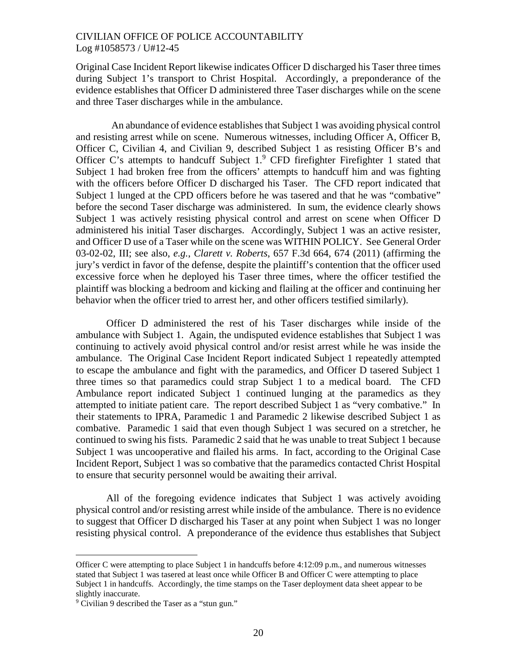Original Case Incident Report likewise indicates Officer D discharged his Taser three times during Subject 1's transport to Christ Hospital. Accordingly, a preponderance of the evidence establishes that Officer D administered three Taser discharges while on the scene and three Taser discharges while in the ambulance.

An abundance of evidence establishes that Subject 1 was avoiding physical control and resisting arrest while on scene. Numerous witnesses, including Officer A, Officer B, Officer C, Civilian 4, and Civilian 9, described Subject 1 as resisting Officer B's and Officer C's attempts to handcuff Subject1[.](#page-19-0)<sup>9</sup> CFD firefighter Firefighter 1 stated that Subject 1 had broken free from the officers' attempts to handcuff him and was fighting with the officers before Officer D discharged his Taser. The CFD report indicated that Subject 1 lunged at the CPD officers before he was tasered and that he was "combative" before the second Taser discharge was administered. In sum, the evidence clearly shows Subject 1 was actively resisting physical control and arrest on scene when Officer D administered his initial Taser discharges. Accordingly, Subject 1 was an active resister, and Officer D use of a Taser while on the scene was WITHIN POLICY. See General Order 03-02-02, III; see also, *e.g.*, *Clarett v. Roberts*, 657 F.3d 664, 674 (2011) (affirming the jury's verdict in favor of the defense, despite the plaintiff's contention that the officer used excessive force when he deployed his Taser three times, where the officer testified the plaintiff was blocking a bedroom and kicking and flailing at the officer and continuing her behavior when the officer tried to arrest her, and other officers testified similarly).

Officer D administered the rest of his Taser discharges while inside of the ambulance with Subject 1. Again, the undisputed evidence establishes that Subject 1 was continuing to actively avoid physical control and/or resist arrest while he was inside the ambulance. The Original Case Incident Report indicated Subject 1 repeatedly attempted to escape the ambulance and fight with the paramedics, and Officer D tasered Subject 1 three times so that paramedics could strap Subject 1 to a medical board. The CFD Ambulance report indicated Subject 1 continued lunging at the paramedics as they attempted to initiate patient care. The report described Subject 1 as "very combative." In their statements to IPRA, Paramedic 1 and Paramedic 2 likewise described Subject 1 as combative. Paramedic 1 said that even though Subject 1 was secured on a stretcher, he continued to swing his fists. Paramedic 2 said that he was unable to treat Subject 1 because Subject 1 was uncooperative and flailed his arms. In fact, according to the Original Case Incident Report, Subject 1 was so combative that the paramedics contacted Christ Hospital to ensure that security personnel would be awaiting their arrival.

All of the foregoing evidence indicates that Subject 1 was actively avoiding physical control and/or resisting arrest while inside of the ambulance. There is no evidence to suggest that Officer D discharged his Taser at any point when Subject 1 was no longer resisting physical control. A preponderance of the evidence thus establishes that Subject

Officer C were attempting to place Subject 1 in handcuffs before 4:12:09 p.m., and numerous witnesses stated that Subject 1 was tasered at least once while Officer B and Officer C were attempting to place Subject 1 in handcuffs. Accordingly, the time stamps on the Taser deployment data sheet appear to be slightly inaccurate.

<span id="page-19-0"></span><sup>9</sup> Civilian 9 described the Taser as a "stun gun."